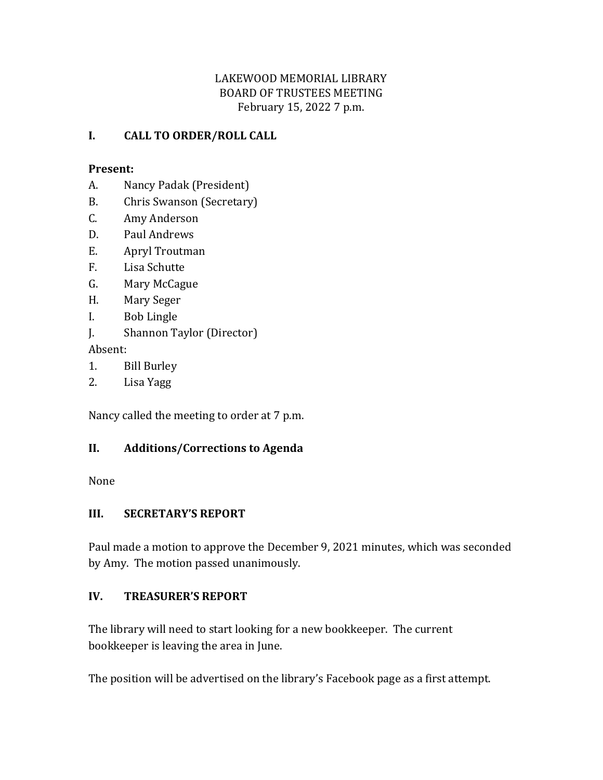## LAKEWOOD MEMORIAL LIBRARY BOARD OF TRUSTEES MEETING February 15, 2022 7 p.m.

#### **I. CALL TO ORDER/ROLL CALL**

#### **Present:**

- A. Nancy Padak (President)
- B. Chris Swanson (Secretary)
- C. Amy Anderson
- D. Paul Andrews
- E. Apryl Troutman
- F. Lisa Schutte
- G. Mary McCague
- H. Mary Seger
- I. Bob Lingle
- J. Shannon Taylor (Director)

Absent:

- 1. Bill Burley
- 2. Lisa Yagg

Nancy called the meeting to order at 7 p.m.

## **II. Additions/Corrections to Agenda**

None

#### **III. SECRETARY'S REPORT**

Paul made a motion to approve the December 9, 2021 minutes, which was seconded by Amy. The motion passed unanimously.

## **IV. TREASURER'S REPORT**

The library will need to start looking for a new bookkeeper. The current bookkeeper is leaving the area in June.

The position will be advertised on the library's Facebook page as a first attempt.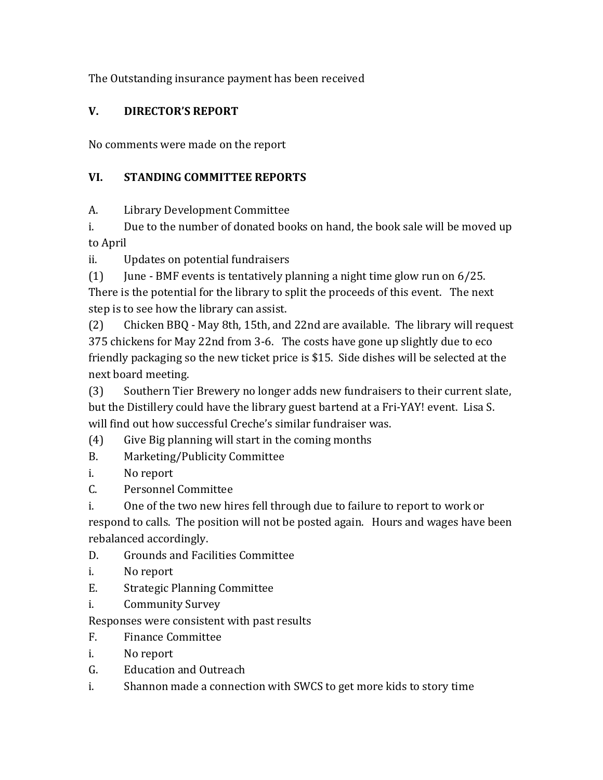The Outstanding insurance payment has been received

## **V. DIRECTOR'S REPORT**

No comments were made on the report

## **VI. STANDING COMMITTEE REPORTS**

A. Library Development Committee

i. Due to the number of donated books on hand, the book sale will be moved up to April

ii. Updates on potential fundraisers

(1) June - BMF events is tentatively planning a night time glow run on  $6/25$ . There is the potential for the library to split the proceeds of this event. The next step is to see how the library can assist.

(2) Chicken BBQ - May 8th, 15th, and 22nd are available. The library will request 375 chickens for May 22nd from 3-6. The costs have gone up slightly due to eco friendly packaging so the new ticket price is \$15. Side dishes will be selected at the next board meeting.

(3) Southern Tier Brewery no longer adds new fundraisers to their current slate, but the Distillery could have the library guest bartend at a Fri-YAY! event. Lisa S. will find out how successful Creche's similar fundraiser was.

(4) Give Big planning will start in the coming months

- B. Marketing/Publicity Committee
- i. No report
- C. Personnel Committee

i. One of the two new hires fell through due to failure to report to work or respond to calls. The position will not be posted again. Hours and wages have been rebalanced accordingly.

- D. Grounds and Facilities Committee
- i. No report
- E. Strategic Planning Committee
- i. Community Survey

Responses were consistent with past results

- F. Finance Committee
- i. No report
- G. Education and Outreach
- i. Shannon made a connection with SWCS to get more kids to story time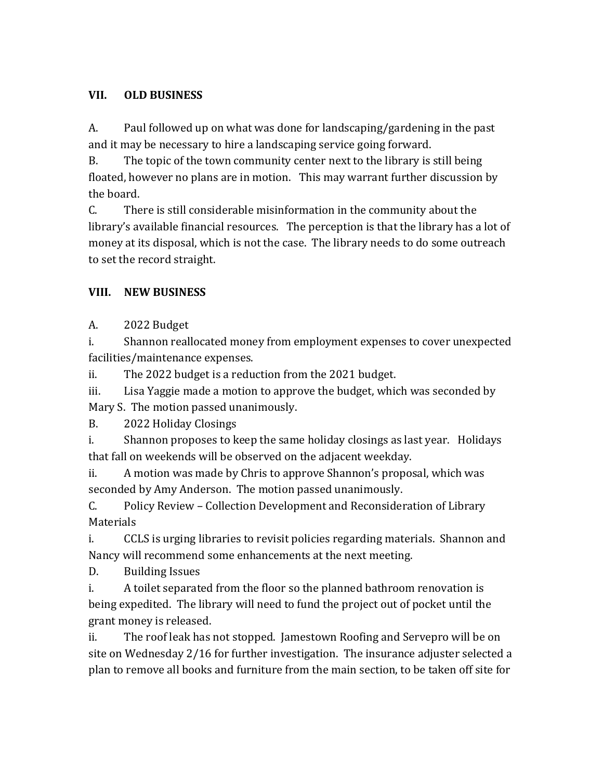## **VII. OLD BUSINESS**

A. Paul followed up on what was done for landscaping/gardening in the past and it may be necessary to hire a landscaping service going forward.

B. The topic of the town community center next to the library is still being floated, however no plans are in motion. This may warrant further discussion by the board.

C. There is still considerable misinformation in the community about the library's available financial resources. The perception is that the library has a lot of money at its disposal, which is not the case. The library needs to do some outreach to set the record straight.

## **VIII. NEW BUSINESS**

A. 2022 Budget

i. Shannon reallocated money from employment expenses to cover unexpected facilities/maintenance expenses.

ii. The 2022 budget is a reduction from the 2021 budget.

iii. Lisa Yaggie made a motion to approve the budget, which was seconded by Mary S. The motion passed unanimously.

B. 2022 Holiday Closings

i. Shannon proposes to keep the same holiday closings as last year. Holidays that fall on weekends will be observed on the adjacent weekday.

ii. A motion was made by Chris to approve Shannon's proposal, which was seconded by Amy Anderson. The motion passed unanimously.

C. Policy Review – Collection Development and Reconsideration of Library **Materials** 

i. CCLS is urging libraries to revisit policies regarding materials. Shannon and Nancy will recommend some enhancements at the next meeting.

D. Building Issues

i. A toilet separated from the floor so the planned bathroom renovation is being expedited. The library will need to fund the project out of pocket until the grant money is released.

ii. The roof leak has not stopped. Jamestown Roofing and Servepro will be on site on Wednesday 2/16 for further investigation. The insurance adjuster selected a plan to remove all books and furniture from the main section, to be taken off site for